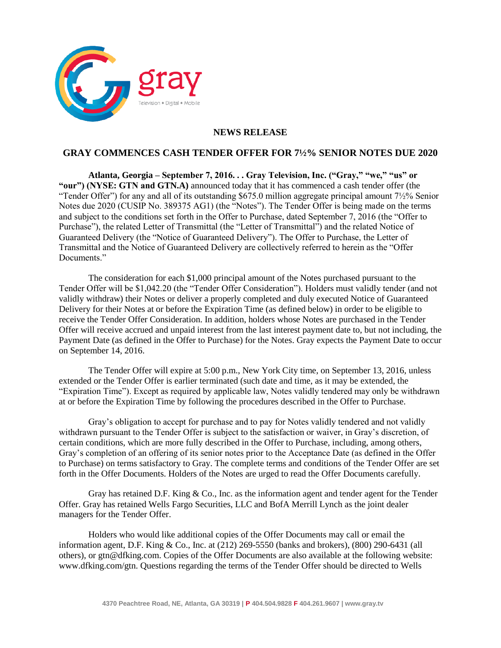

## **NEWS RELEASE**

## **GRAY COMMENCES CASH TENDER OFFER FOR 7½% SENIOR NOTES DUE 2020**

**Atlanta, Georgia – September 7, 2016. . . Gray Television, Inc. ("Gray," "we," "us" or**  "our") (NYSE: GTN and GTN.A) announced today that it has commenced a cash tender offer (the "Tender Offer") for any and all of its outstanding \$675.0 million aggregate principal amount  $7\frac{1}{2}\%$  Senior Notes due 2020 (CUSIP No. 389375 AG1) (the "Notes"). The Tender Offer is being made on the terms and subject to the conditions set forth in the Offer to Purchase, dated September 7, 2016 (the "Offer to Purchase"), the related Letter of Transmittal (the "Letter of Transmittal") and the related Notice of Guaranteed Delivery (the "Notice of Guaranteed Delivery"). The Offer to Purchase, the Letter of Transmittal and the Notice of Guaranteed Delivery are collectively referred to herein as the "Offer Documents<sup>"</sup>

The consideration for each \$1,000 principal amount of the Notes purchased pursuant to the Tender Offer will be \$1,042.20 (the "Tender Offer Consideration"). Holders must validly tender (and not validly withdraw) their Notes or deliver a properly completed and duly executed Notice of Guaranteed Delivery for their Notes at or before the Expiration Time (as defined below) in order to be eligible to receive the Tender Offer Consideration. In addition, holders whose Notes are purchased in the Tender Offer will receive accrued and unpaid interest from the last interest payment date to, but not including, the Payment Date (as defined in the Offer to Purchase) for the Notes. Gray expects the Payment Date to occur on September 14, 2016.

The Tender Offer will expire at 5:00 p.m., New York City time, on September 13, 2016, unless extended or the Tender Offer is earlier terminated (such date and time, as it may be extended, the "Expiration Time"). Except as required by applicable law, Notes validly tendered may only be withdrawn at or before the Expiration Time by following the procedures described in the Offer to Purchase.

Gray's obligation to accept for purchase and to pay for Notes validly tendered and not validly withdrawn pursuant to the Tender Offer is subject to the satisfaction or waiver, in Gray's discretion, of certain conditions, which are more fully described in the Offer to Purchase, including, among others, Gray's completion of an offering of its senior notes prior to the Acceptance Date (as defined in the Offer to Purchase) on terms satisfactory to Gray. The complete terms and conditions of the Tender Offer are set forth in the Offer Documents. Holders of the Notes are urged to read the Offer Documents carefully.

Gray has retained D.F. King & Co., Inc. as the information agent and tender agent for the Tender Offer. Gray has retained Wells Fargo Securities, LLC and BofA Merrill Lynch as the joint dealer managers for the Tender Offer.

Holders who would like additional copies of the Offer Documents may call or email the information agent, D.F. King & Co., Inc. at (212) 269-5550 (banks and brokers), (800) 290-6431 (all others), or gtn@dfking.com. Copies of the Offer Documents are also available at the following website: www.dfking.com/gtn. Questions regarding the terms of the Tender Offer should be directed to Wells